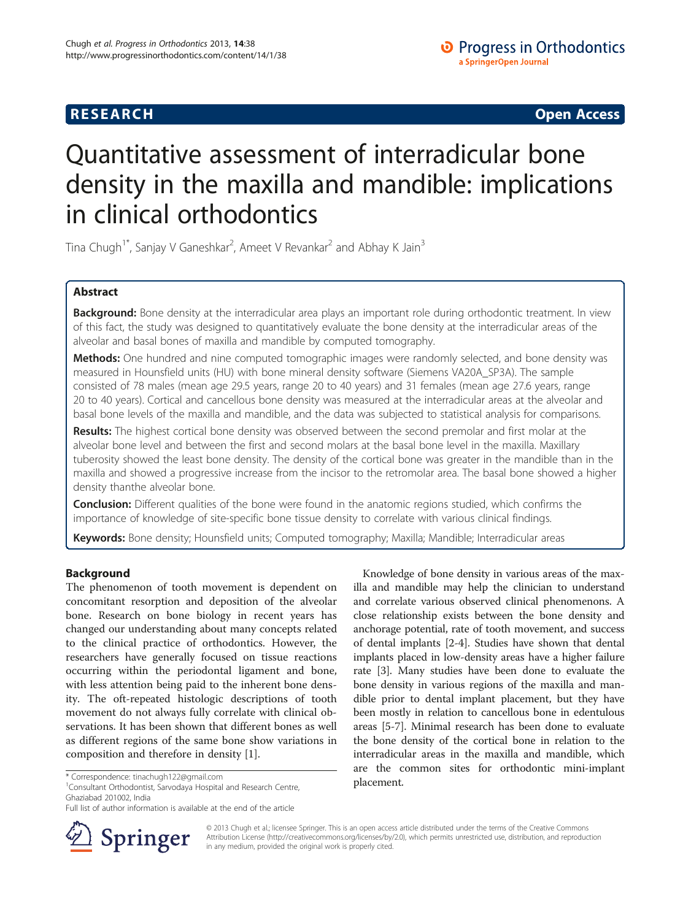**RESEARCH CHINESE ARCH CHINESE ARCH CHINESE ARCH <b>CHINESE ARCH** 

# Quantitative assessment of interradicular bone density in the maxilla and mandible: implications in clinical orthodontics

Tina Chugh<sup>1\*</sup>, Sanjay V Ganeshkar<sup>2</sup>, Ameet V Revankar<sup>2</sup> and Abhay K Jain<sup>3</sup>

# Abstract

Background: Bone density at the interradicular area plays an important role during orthodontic treatment. In view of this fact, the study was designed to quantitatively evaluate the bone density at the interradicular areas of the alveolar and basal bones of maxilla and mandible by computed tomography.

Methods: One hundred and nine computed tomographic images were randomly selected, and bone density was measured in Hounsfield units (HU) with bone mineral density software (Siemens VA20A\_SP3A). The sample consisted of 78 males (mean age 29.5 years, range 20 to 40 years) and 31 females (mean age 27.6 years, range 20 to 40 years). Cortical and cancellous bone density was measured at the interradicular areas at the alveolar and basal bone levels of the maxilla and mandible, and the data was subjected to statistical analysis for comparisons.

Results: The highest cortical bone density was observed between the second premolar and first molar at the alveolar bone level and between the first and second molars at the basal bone level in the maxilla. Maxillary tuberosity showed the least bone density. The density of the cortical bone was greater in the mandible than in the maxilla and showed a progressive increase from the incisor to the retromolar area. The basal bone showed a higher density thanthe alveolar bone.

**Conclusion:** Different qualities of the bone were found in the anatomic regions studied, which confirms the importance of knowledge of site-specific bone tissue density to correlate with various clinical findings.

Keywords: Bone density; Hounsfield units; Computed tomography; Maxilla; Mandible; Interradicular areas

# Background

The phenomenon of tooth movement is dependent on concomitant resorption and deposition of the alveolar bone. Research on bone biology in recent years has changed our understanding about many concepts related to the clinical practice of orthodontics. However, the researchers have generally focused on tissue reactions occurring within the periodontal ligament and bone, with less attention being paid to the inherent bone density. The oft-repeated histologic descriptions of tooth movement do not always fully correlate with clinical observations. It has been shown that different bones as well as different regions of the same bone show variations in composition and therefore in density [\[1](#page-6-0)].

placement. \* Correspondence: [tinachugh122@gmail.com](mailto:tinachugh122@gmail.com) <sup>1</sup> Consultant Orthodontist, Sarvodaya Hospital and Research Centre, Ghaziabad 201002, India

Springer

Knowledge of bone density in various areas of the maxilla and mandible may help the clinician to understand and correlate various observed clinical phenomenons. A close relationship exists between the bone density and anchorage potential, rate of tooth movement, and success of dental implants [[2-4](#page-6-0)]. Studies have shown that dental implants placed in low-density areas have a higher failure rate [\[3](#page-6-0)]. Many studies have been done to evaluate the bone density in various regions of the maxilla and mandible prior to dental implant placement, but they have been mostly in relation to cancellous bone in edentulous areas [\[5-7](#page-6-0)]. Minimal research has been done to evaluate the bone density of the cortical bone in relation to the interradicular areas in the maxilla and mandible, which are the common sites for orthodontic mini-implant

© 2013 Chugh et al.; licensee Springer. This is an open access article distributed under the terms of the Creative Commons Attribution License [\(http://creativecommons.org/licenses/by/2.0\)](http://creativecommons.org/licenses/by/2.0), which permits unrestricted use, distribution, and reproduction in any medium, provided the original work is properly cited.

Full list of author information is available at the end of the article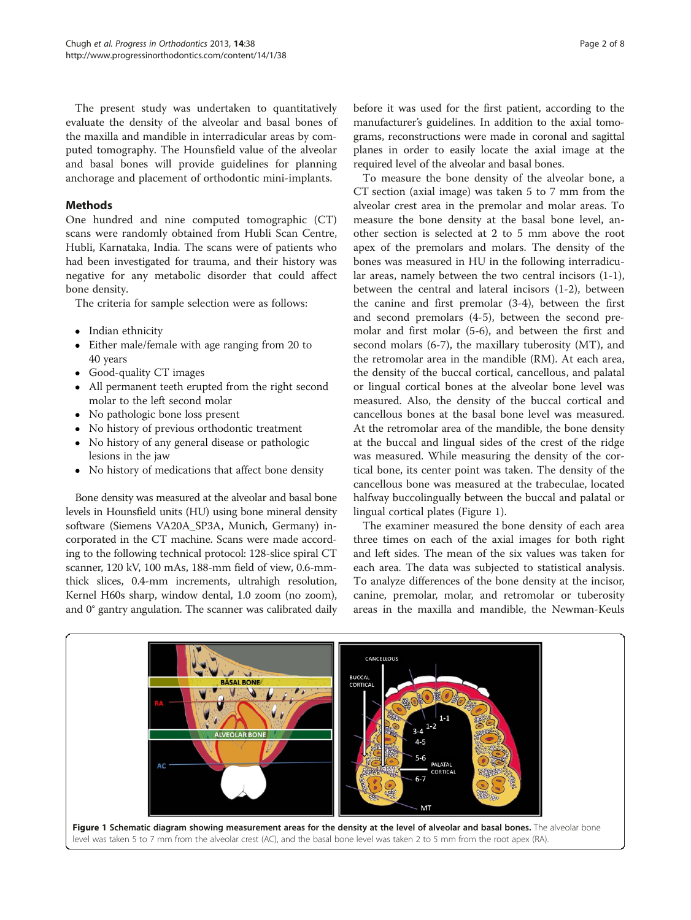The present study was undertaken to quantitatively evaluate the density of the alveolar and basal bones of the maxilla and mandible in interradicular areas by computed tomography. The Hounsfield value of the alveolar and basal bones will provide guidelines for planning anchorage and placement of orthodontic mini-implants.

# Methods

One hundred and nine computed tomographic (CT) scans were randomly obtained from Hubli Scan Centre, Hubli, Karnataka, India. The scans were of patients who had been investigated for trauma, and their history was negative for any metabolic disorder that could affect bone density.

- The criteria for sample selection were as follows:
- Indian ethnicity
- Either male/female with age ranging from 20 to 40 years
- Good-quality CT images
- All permanent teeth erupted from the right second molar to the left second molar
- No pathologic bone loss present
- No history of previous orthodontic treatment
- No history of any general disease or pathologic lesions in the jaw
- No history of medications that affect bone density

Bone density was measured at the alveolar and basal bone levels in Hounsfield units (HU) using bone mineral density software (Siemens VA20A\_SP3A, Munich, Germany) incorporated in the CT machine. Scans were made according to the following technical protocol: 128-slice spiral CT scanner, 120 kV, 100 mAs, 188-mm field of view, 0.6-mmthick slices, 0.4-mm increments, ultrahigh resolution, Kernel H60s sharp, window dental, 1.0 zoom (no zoom), and 0° gantry angulation. The scanner was calibrated daily before it was used for the first patient, according to the manufacturer's guidelines. In addition to the axial tomograms, reconstructions were made in coronal and sagittal planes in order to easily locate the axial image at the required level of the alveolar and basal bones.

To measure the bone density of the alveolar bone, a CT section (axial image) was taken 5 to 7 mm from the alveolar crest area in the premolar and molar areas. To measure the bone density at the basal bone level, another section is selected at 2 to 5 mm above the root apex of the premolars and molars. The density of the bones was measured in HU in the following interradicular areas, namely between the two central incisors (1-1), between the central and lateral incisors (1-2), between the canine and first premolar (3-4), between the first and second premolars (4-5), between the second premolar and first molar (5-6), and between the first and second molars (6-7), the maxillary tuberosity (MT), and the retromolar area in the mandible (RM). At each area, the density of the buccal cortical, cancellous, and palatal or lingual cortical bones at the alveolar bone level was measured. Also, the density of the buccal cortical and cancellous bones at the basal bone level was measured. At the retromolar area of the mandible, the bone density at the buccal and lingual sides of the crest of the ridge was measured. While measuring the density of the cortical bone, its center point was taken. The density of the cancellous bone was measured at the trabeculae, located halfway buccolingually between the buccal and palatal or lingual cortical plates (Figure 1).

The examiner measured the bone density of each area three times on each of the axial images for both right and left sides. The mean of the six values was taken for each area. The data was subjected to statistical analysis. To analyze differences of the bone density at the incisor, canine, premolar, molar, and retromolar or tuberosity areas in the maxilla and mandible, the Newman-Keuls

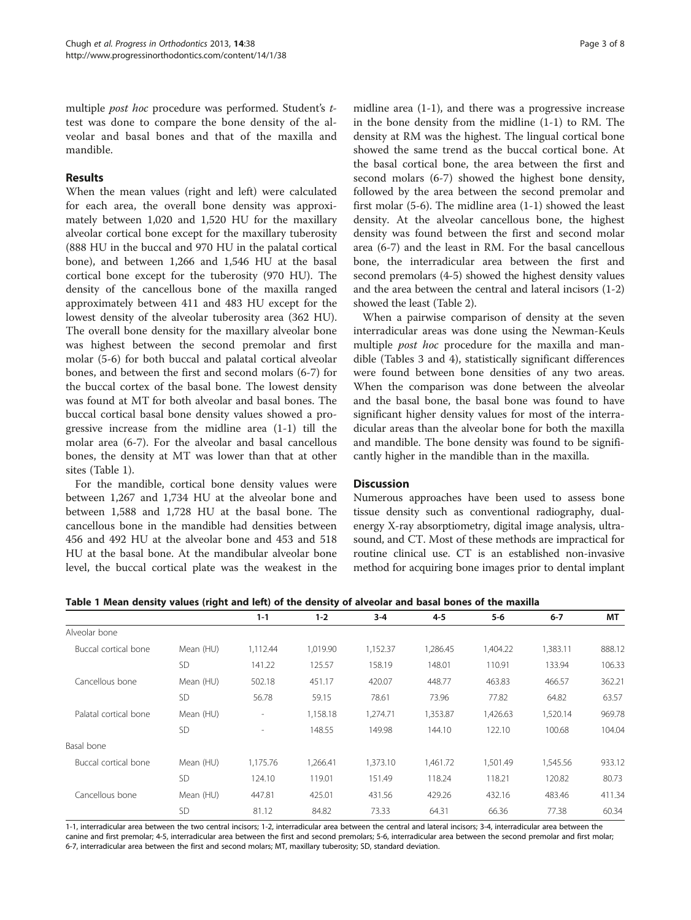multiple post hoc procedure was performed. Student's ttest was done to compare the bone density of the alveolar and basal bones and that of the maxilla and mandible.

## Results

When the mean values (right and left) were calculated for each area, the overall bone density was approximately between 1,020 and 1,520 HU for the maxillary alveolar cortical bone except for the maxillary tuberosity (888 HU in the buccal and 970 HU in the palatal cortical bone), and between 1,266 and 1,546 HU at the basal cortical bone except for the tuberosity (970 HU). The density of the cancellous bone of the maxilla ranged approximately between 411 and 483 HU except for the lowest density of the alveolar tuberosity area (362 HU). The overall bone density for the maxillary alveolar bone was highest between the second premolar and first molar (5-6) for both buccal and palatal cortical alveolar bones, and between the first and second molars (6-7) for the buccal cortex of the basal bone. The lowest density was found at MT for both alveolar and basal bones. The buccal cortical basal bone density values showed a progressive increase from the midline area (1-1) till the molar area (6-7). For the alveolar and basal cancellous bones, the density at MT was lower than that at other sites (Table 1).

For the mandible, cortical bone density values were between 1,267 and 1,734 HU at the alveolar bone and between 1,588 and 1,728 HU at the basal bone. The cancellous bone in the mandible had densities between 456 and 492 HU at the alveolar bone and 453 and 518 HU at the basal bone. At the mandibular alveolar bone level, the buccal cortical plate was the weakest in the

midline area (1-1), and there was a progressive increase in the bone density from the midline (1-1) to RM. The density at RM was the highest. The lingual cortical bone showed the same trend as the buccal cortical bone. At the basal cortical bone, the area between the first and second molars (6-7) showed the highest bone density, followed by the area between the second premolar and first molar (5-6). The midline area (1-1) showed the least density. At the alveolar cancellous bone, the highest density was found between the first and second molar area (6-7) and the least in RM. For the basal cancellous bone, the interradicular area between the first and second premolars (4-5) showed the highest density values and the area between the central and lateral incisors (1-2) showed the least (Table [2\)](#page-3-0).

When a pairwise comparison of density at the seven interradicular areas was done using the Newman-Keuls multiple post hoc procedure for the maxilla and mandible (Tables [3](#page-4-0) and [4](#page-5-0)), statistically significant differences were found between bone densities of any two areas. When the comparison was done between the alveolar and the basal bone, the basal bone was found to have significant higher density values for most of the interradicular areas than the alveolar bone for both the maxilla and mandible. The bone density was found to be significantly higher in the mandible than in the maxilla.

# **Discussion**

Numerous approaches have been used to assess bone tissue density such as conventional radiography, dualenergy X-ray absorptiometry, digital image analysis, ultrasound, and CT. Most of these methods are impractical for routine clinical use. CT is an established non-invasive method for acquiring bone images prior to dental implant

|  | Table 1 Mean density values (right and left) of the density of alveolar and basal bones of the maxilla |
|--|--------------------------------------------------------------------------------------------------------|
|--|--------------------------------------------------------------------------------------------------------|

|                       |           | $1 - 1$                  | $1-2$    | $3 - 4$  | $4 - 5$  | 5-6      | $6 - 7$  | МT     |
|-----------------------|-----------|--------------------------|----------|----------|----------|----------|----------|--------|
| Alveolar bone         |           |                          |          |          |          |          |          |        |
| Buccal cortical bone  | Mean (HU) | 1,112.44                 | 1,019.90 | 1,152.37 | 1,286.45 | 1,404.22 | 1,383.11 | 888.12 |
|                       | <b>SD</b> | 141.22                   | 125.57   | 158.19   | 148.01   | 110.91   | 133.94   | 106.33 |
| Cancellous bone       | Mean (HU) | 502.18                   | 451.17   | 420.07   | 448.77   | 463.83   | 466.57   | 362.21 |
|                       | <b>SD</b> | 56.78                    | 59.15    | 78.61    | 73.96    | 77.82    | 64.82    | 63.57  |
| Palatal cortical bone | Mean (HU) | $\overline{\phantom{a}}$ | 1,158.18 | 1,274.71 | 1,353.87 | 1,426.63 | 1,520.14 | 969.78 |
|                       | <b>SD</b> | $\overline{\phantom{a}}$ | 148.55   | 149.98   | 144.10   | 122.10   | 100.68   | 104.04 |
| Basal bone            |           |                          |          |          |          |          |          |        |
| Buccal cortical bone  | Mean (HU) | 1,175.76                 | 1,266.41 | 1,373.10 | 1,461.72 | 1,501.49 | 1,545.56 | 933.12 |
|                       | <b>SD</b> | 124.10                   | 119.01   | 151.49   | 118.24   | 118.21   | 120.82   | 80.73  |
| Cancellous bone       | Mean (HU) | 447.81                   | 425.01   | 431.56   | 429.26   | 432.16   | 483.46   | 411.34 |
|                       | <b>SD</b> | 81.12                    | 84.82    | 73.33    | 64.31    | 66.36    | 77.38    | 60.34  |

1-1, interradicular area between the two central incisors; 1-2, interradicular area between the central and lateral incisors; 3-4, interradicular area between the canine and first premolar; 4-5, interradicular area between the first and second premolars; 5-6, interradicular area between the second premolar and first molar; 6-7, interradicular area between the first and second molars; MT, maxillary tuberosity; SD, standard deviation.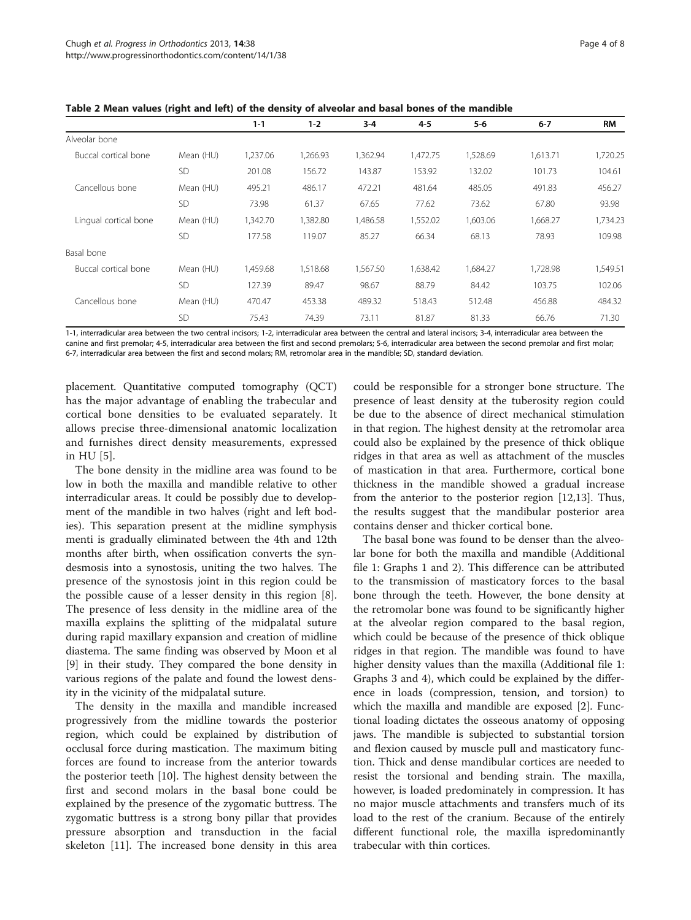|                       |           | $1 - 1$  | $1-2$    | $3 - 4$  | $4 - 5$  | $5 - 6$  | $6 - 7$  | RM       |
|-----------------------|-----------|----------|----------|----------|----------|----------|----------|----------|
| Alveolar bone         |           |          |          |          |          |          |          |          |
| Buccal cortical bone  | Mean (HU) | ,237.06  | 1,266.93 | 1,362.94 | 1,472.75 | 1,528.69 | 1,613.71 | 1,720.25 |
|                       | <b>SD</b> | 201.08   | 156.72   | 143.87   | 153.92   | 132.02   | 101.73   | 104.61   |
| Cancellous bone       | Mean (HU) | 495.21   | 486.17   | 472.21   | 481.64   | 485.05   | 491.83   | 456.27   |
|                       | <b>SD</b> | 73.98    | 61.37    | 67.65    | 77.62    | 73.62    | 67.80    | 93.98    |
| Lingual cortical bone | Mean (HU) | 1,342.70 | 1,382.80 | 1,486.58 | 1,552.02 | 1,603.06 | 1,668.27 | 1,734.23 |
|                       | <b>SD</b> | 177.58   | 119.07   | 85.27    | 66.34    | 68.13    | 78.93    | 109.98   |
| Basal bone            |           |          |          |          |          |          |          |          |
| Buccal cortical bone  | Mean (HU) | 1,459.68 | 1,518.68 | 1,567.50 | 1,638.42 | 1,684.27 | 1,728.98 | 1,549.51 |
|                       | <b>SD</b> | 127.39   | 89.47    | 98.67    | 88.79    | 84.42    | 103.75   | 102.06   |
| Cancellous bone       | Mean (HU) | 470.47   | 453.38   | 489.32   | 518.43   | 512.48   | 456.88   | 484.32   |
|                       | <b>SD</b> | 75.43    | 74.39    | 73.11    | 81.87    | 81.33    | 66.76    | 71.30    |

<span id="page-3-0"></span>Table 2 Mean values (right and left) of the density of alveolar and basal bones of the mandible

1-1, interradicular area between the two central incisors; 1-2, interradicular area between the central and lateral incisors; 3-4, interradicular area between the canine and first premolar; 4-5, interradicular area between the first and second premolars; 5-6, interradicular area between the second premolar and first molar; 6-7, interradicular area between the first and second molars; RM, retromolar area in the mandible; SD, standard deviation.

placement. Quantitative computed tomography (QCT) has the major advantage of enabling the trabecular and cortical bone densities to be evaluated separately. It allows precise three-dimensional anatomic localization and furnishes direct density measurements, expressed in HU [[5\]](#page-6-0).

The bone density in the midline area was found to be low in both the maxilla and mandible relative to other interradicular areas. It could be possibly due to development of the mandible in two halves (right and left bodies). This separation present at the midline symphysis menti is gradually eliminated between the 4th and 12th months after birth, when ossification converts the syndesmosis into a synostosis, uniting the two halves. The presence of the synostosis joint in this region could be the possible cause of a lesser density in this region [\[8](#page-6-0)]. The presence of less density in the midline area of the maxilla explains the splitting of the midpalatal suture during rapid maxillary expansion and creation of midline diastema. The same finding was observed by Moon et al [[9\]](#page-6-0) in their study. They compared the bone density in various regions of the palate and found the lowest density in the vicinity of the midpalatal suture.

The density in the maxilla and mandible increased progressively from the midline towards the posterior region, which could be explained by distribution of occlusal force during mastication. The maximum biting forces are found to increase from the anterior towards the posterior teeth [\[10\]](#page-6-0). The highest density between the first and second molars in the basal bone could be explained by the presence of the zygomatic buttress. The zygomatic buttress is a strong bony pillar that provides pressure absorption and transduction in the facial skeleton [\[11](#page-6-0)]. The increased bone density in this area could be responsible for a stronger bone structure. The presence of least density at the tuberosity region could be due to the absence of direct mechanical stimulation in that region. The highest density at the retromolar area could also be explained by the presence of thick oblique ridges in that area as well as attachment of the muscles of mastication in that area. Furthermore, cortical bone thickness in the mandible showed a gradual increase from the anterior to the posterior region [\[12,13](#page-6-0)]. Thus, the results suggest that the mandibular posterior area contains denser and thicker cortical bone.

The basal bone was found to be denser than the alveolar bone for both the maxilla and mandible (Additional file [1](#page-6-0): Graphs 1 and 2). This difference can be attributed to the transmission of masticatory forces to the basal bone through the teeth. However, the bone density at the retromolar bone was found to be significantly higher at the alveolar region compared to the basal region, which could be because of the presence of thick oblique ridges in that region. The mandible was found to have higher density values than the maxilla (Additional file [1](#page-6-0): Graphs 3 and 4), which could be explained by the difference in loads (compression, tension, and torsion) to which the maxilla and mandible are exposed [[2\]](#page-6-0). Functional loading dictates the osseous anatomy of opposing jaws. The mandible is subjected to substantial torsion and flexion caused by muscle pull and masticatory function. Thick and dense mandibular cortices are needed to resist the torsional and bending strain. The maxilla, however, is loaded predominately in compression. It has no major muscle attachments and transfers much of its load to the rest of the cranium. Because of the entirely different functional role, the maxilla ispredominantly trabecular with thin cortices.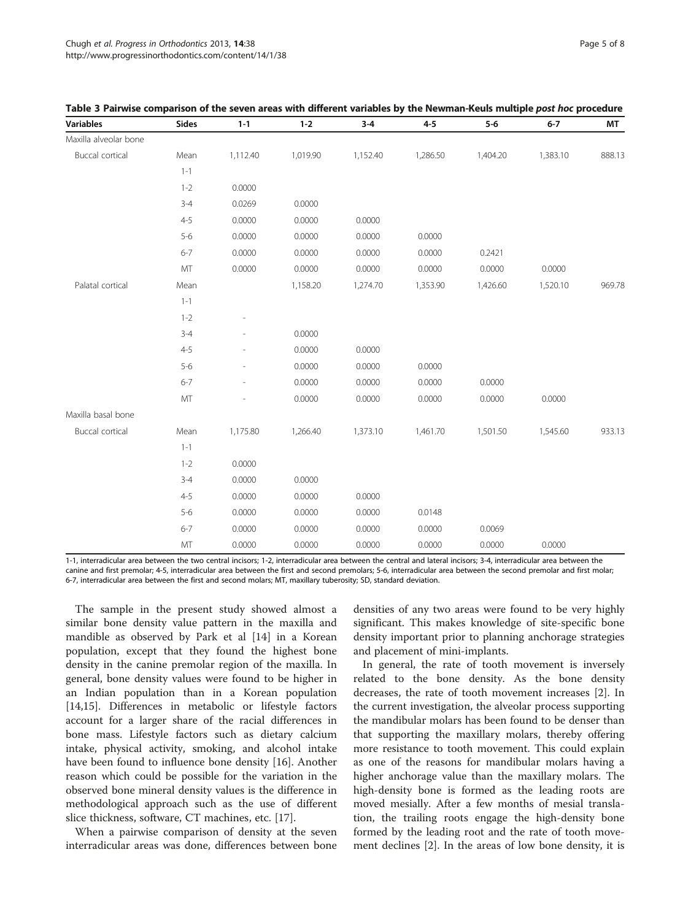| <b>Variables</b>      | <b>Sides</b> | $1 - 1$  | $1 - 2$  | $3 - 4$  | $4 - 5$  | $5-6$    | $6 - 7$  | MT     |
|-----------------------|--------------|----------|----------|----------|----------|----------|----------|--------|
| Maxilla alveolar bone |              |          |          |          |          |          |          |        |
| Buccal cortical       | Mean         | 1,112.40 | 1,019.90 | 1,152.40 | 1,286.50 | 1,404.20 | 1,383.10 | 888.13 |
|                       | $1 - 1$      |          |          |          |          |          |          |        |
|                       | $1 - 2$      | 0.0000   |          |          |          |          |          |        |
|                       | $3 - 4$      | 0.0269   | 0.0000   |          |          |          |          |        |
|                       | $4 - 5$      | 0.0000   | 0.0000   | 0.0000   |          |          |          |        |
|                       | $5-6$        | 0.0000   | 0.0000   | 0.0000   | 0.0000   |          |          |        |
|                       | $6 - 7$      | 0.0000   | 0.0000   | 0.0000   | 0.0000   | 0.2421   |          |        |
|                       | MT           | 0.0000   | 0.0000   | 0.0000   | 0.0000   | 0.0000   | 0.0000   |        |
| Palatal cortical      | Mean         |          | 1,158.20 | 1,274.70 | 1,353.90 | 1,426.60 | 1,520.10 | 969.78 |
|                       | $1 - 1$      |          |          |          |          |          |          |        |
|                       | $1 - 2$      |          |          |          |          |          |          |        |
|                       | $3 - 4$      |          | 0.0000   |          |          |          |          |        |
|                       | $4 - 5$      |          | 0.0000   | 0.0000   |          |          |          |        |
|                       | $5 - 6$      |          | 0.0000   | 0.0000   | 0.0000   |          |          |        |
|                       | $6 - 7$      |          | 0.0000   | 0.0000   | 0.0000   | 0.0000   |          |        |
|                       | MT           |          | 0.0000   | 0.0000   | 0.0000   | 0.0000   | 0.0000   |        |
| Maxilla basal bone    |              |          |          |          |          |          |          |        |
| Buccal cortical       | Mean         | 1,175.80 | 1,266.40 | 1,373.10 | 1,461.70 | 1,501.50 | 1,545.60 | 933.13 |
|                       | $1 - 1$      |          |          |          |          |          |          |        |
|                       | $1 - 2$      | 0.0000   |          |          |          |          |          |        |
|                       | $3 - 4$      | 0.0000   | 0.0000   |          |          |          |          |        |
|                       | $4 - 5$      | 0.0000   | 0.0000   | 0.0000   |          |          |          |        |
|                       | $5 - 6$      | 0.0000   | 0.0000   | 0.0000   | 0.0148   |          |          |        |
|                       | $6 - 7$      | 0.0000   | 0.0000   | 0.0000   | 0.0000   | 0.0069   |          |        |
|                       | MT           | 0.0000   | 0.0000   | 0.0000   | 0.0000   | 0.0000   | 0.0000   |        |

### <span id="page-4-0"></span>Table 3 Pairwise comparison of the seven areas with different variables by the Newman-Keuls multiple post hoc procedure

1-1, interradicular area between the two central incisors; 1-2, interradicular area between the central and lateral incisors; 3-4, interradicular area between the canine and first premolar; 4-5, interradicular area between the first and second premolars; 5-6, interradicular area between the second premolar and first molar; 6-7, interradicular area between the first and second molars; MT, maxillary tuberosity; SD, standard deviation.

The sample in the present study showed almost a similar bone density value pattern in the maxilla and mandible as observed by Park et al [\[14](#page-6-0)] in a Korean population, except that they found the highest bone density in the canine premolar region of the maxilla. In general, bone density values were found to be higher in an Indian population than in a Korean population [[14,](#page-6-0)[15\]](#page-7-0). Differences in metabolic or lifestyle factors account for a larger share of the racial differences in bone mass. Lifestyle factors such as dietary calcium intake, physical activity, smoking, and alcohol intake have been found to influence bone density [\[16](#page-7-0)]. Another reason which could be possible for the variation in the observed bone mineral density values is the difference in methodological approach such as the use of different slice thickness, software, CT machines, etc. [[17\]](#page-7-0).

When a pairwise comparison of density at the seven interradicular areas was done, differences between bone

densities of any two areas were found to be very highly significant. This makes knowledge of site-specific bone density important prior to planning anchorage strategies and placement of mini-implants.

In general, the rate of tooth movement is inversely related to the bone density. As the bone density decreases, the rate of tooth movement increases [[2\]](#page-6-0). In the current investigation, the alveolar process supporting the mandibular molars has been found to be denser than that supporting the maxillary molars, thereby offering more resistance to tooth movement. This could explain as one of the reasons for mandibular molars having a higher anchorage value than the maxillary molars. The high-density bone is formed as the leading roots are moved mesially. After a few months of mesial translation, the trailing roots engage the high-density bone formed by the leading root and the rate of tooth movement declines [[2\]](#page-6-0). In the areas of low bone density, it is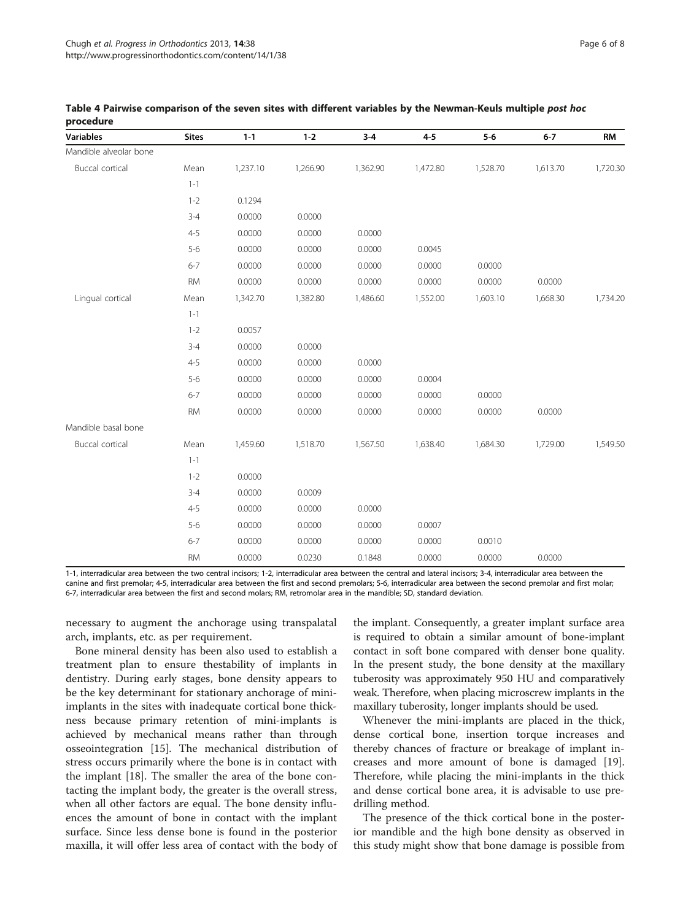| <b>Variables</b>       | <b>Sites</b> | $1 - 1$  | $1 - 2$  | $3 - 4$  | $4 - 5$  | $5-6$    | $6 - 7$  | <b>RM</b> |
|------------------------|--------------|----------|----------|----------|----------|----------|----------|-----------|
| Mandible alveolar bone |              |          |          |          |          |          |          |           |
| Buccal cortical        | Mean         | 1,237.10 | 1,266.90 | 1,362.90 | 1,472.80 | 1,528.70 | 1,613.70 | 1,720.30  |
|                        | $1 - 1$      |          |          |          |          |          |          |           |
|                        | $1 - 2$      | 0.1294   |          |          |          |          |          |           |
|                        | $3 - 4$      | 0.0000   | 0.0000   |          |          |          |          |           |
|                        | $4 - 5$      | 0.0000   | 0.0000   | 0.0000   |          |          |          |           |
|                        | $5 - 6$      | 0.0000   | 0.0000   | 0.0000   | 0.0045   |          |          |           |
|                        | $6 - 7$      | 0.0000   | 0.0000   | 0.0000   | 0.0000   | 0.0000   |          |           |
|                        | <b>RM</b>    | 0.0000   | 0.0000   | 0.0000   | 0.0000   | 0.0000   | 0.0000   |           |
| Lingual cortical       | Mean         | 1,342.70 | 1,382.80 | 1,486.60 | 1,552.00 | 1,603.10 | 1,668.30 | 1,734.20  |
|                        | $1 - 1$      |          |          |          |          |          |          |           |
|                        | $1 - 2$      | 0.0057   |          |          |          |          |          |           |
|                        | $3 - 4$      | 0.0000   | 0.0000   |          |          |          |          |           |
|                        | $4 - 5$      | 0.0000   | 0.0000   | 0.0000   |          |          |          |           |
|                        | $5 - 6$      | 0.0000   | 0.0000   | 0.0000   | 0.0004   |          |          |           |
|                        | $6 - 7$      | 0.0000   | 0.0000   | 0.0000   | 0.0000   | 0.0000   |          |           |
|                        | <b>RM</b>    | 0.0000   | 0.0000   | 0.0000   | 0.0000   | 0.0000   | 0.0000   |           |
| Mandible basal bone    |              |          |          |          |          |          |          |           |
| Buccal cortical        | Mean         | 1,459.60 | 1,518.70 | 1,567.50 | 1,638.40 | 1,684.30 | 1,729.00 | 1,549.50  |
|                        | $1 - 1$      |          |          |          |          |          |          |           |
|                        | $1 - 2$      | 0.0000   |          |          |          |          |          |           |
|                        | $3 - 4$      | 0.0000   | 0.0009   |          |          |          |          |           |
|                        | $4 - 5$      | 0.0000   | 0.0000   | 0.0000   |          |          |          |           |
|                        | $5 - 6$      | 0.0000   | 0.0000   | 0.0000   | 0.0007   |          |          |           |
|                        | $6 - 7$      | 0.0000   | 0.0000   | 0.0000   | 0.0000   | 0.0010   |          |           |
|                        | <b>RM</b>    | 0.0000   | 0.0230   | 0.1848   | 0.0000   | 0.0000   | 0.0000   |           |

#### <span id="page-5-0"></span>Table 4 Pairwise comparison of the seven sites with different variables by the Newman-Keuls multiple post hoc procedure

1-1, interradicular area between the two central incisors; 1-2, interradicular area between the central and lateral incisors; 3-4, interradicular area between the canine and first premolar; 4-5, interradicular area between the first and second premolars; 5-6, interradicular area between the second premolar and first molar; 6-7, interradicular area between the first and second molars; RM, retromolar area in the mandible; SD, standard deviation.

necessary to augment the anchorage using transpalatal arch, implants, etc. as per requirement.

Bone mineral density has been also used to establish a treatment plan to ensure thestability of implants in dentistry. During early stages, bone density appears to be the key determinant for stationary anchorage of miniimplants in the sites with inadequate cortical bone thickness because primary retention of mini-implants is achieved by mechanical means rather than through osseointegration [[15\]](#page-7-0). The mechanical distribution of stress occurs primarily where the bone is in contact with the implant [\[18](#page-7-0)]. The smaller the area of the bone contacting the implant body, the greater is the overall stress, when all other factors are equal. The bone density influences the amount of bone in contact with the implant surface. Since less dense bone is found in the posterior maxilla, it will offer less area of contact with the body of

the implant. Consequently, a greater implant surface area is required to obtain a similar amount of bone-implant contact in soft bone compared with denser bone quality. In the present study, the bone density at the maxillary tuberosity was approximately 950 HU and comparatively weak. Therefore, when placing microscrew implants in the maxillary tuberosity, longer implants should be used.

Whenever the mini-implants are placed in the thick, dense cortical bone, insertion torque increases and thereby chances of fracture or breakage of implant increases and more amount of bone is damaged [\[19](#page-7-0)]. Therefore, while placing the mini-implants in the thick and dense cortical bone area, it is advisable to use predrilling method.

The presence of the thick cortical bone in the posterior mandible and the high bone density as observed in this study might show that bone damage is possible from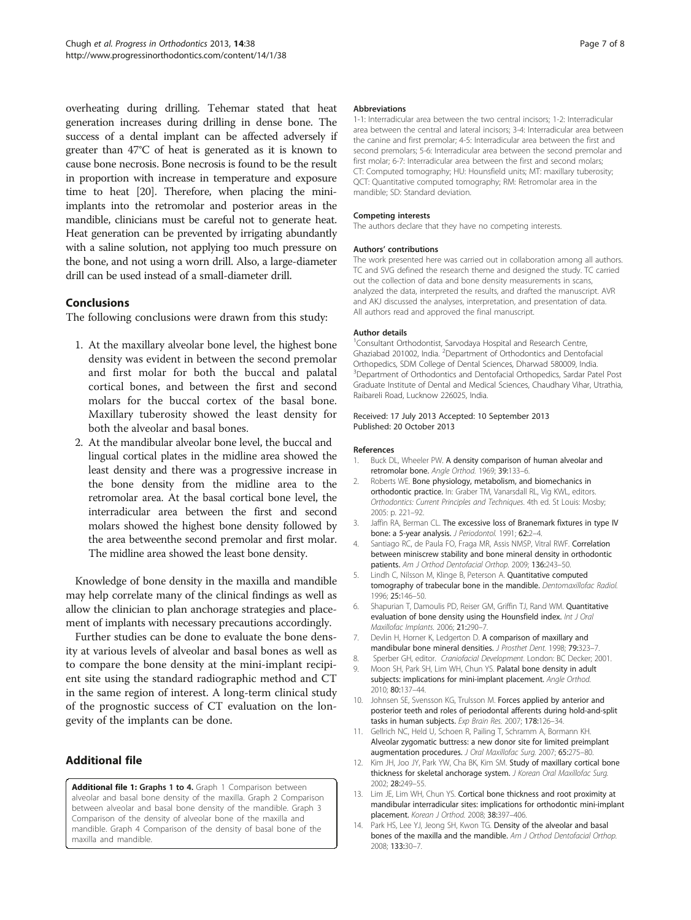<span id="page-6-0"></span>overheating during drilling. Tehemar stated that heat generation increases during drilling in dense bone. The success of a dental implant can be affected adversely if greater than 47°C of heat is generated as it is known to cause bone necrosis. Bone necrosis is found to be the result in proportion with increase in temperature and exposure time to heat [[20](#page-7-0)]. Therefore, when placing the miniimplants into the retromolar and posterior areas in the mandible, clinicians must be careful not to generate heat. Heat generation can be prevented by irrigating abundantly with a saline solution, not applying too much pressure on the bone, and not using a worn drill. Also, a large-diameter drill can be used instead of a small-diameter drill.

# Conclusions

The following conclusions were drawn from this study:

- 1. At the maxillary alveolar bone level, the highest bone density was evident in between the second premolar and first molar for both the buccal and palatal cortical bones, and between the first and second molars for the buccal cortex of the basal bone. Maxillary tuberosity showed the least density for both the alveolar and basal bones.
- 2. At the mandibular alveolar bone level, the buccal and lingual cortical plates in the midline area showed the least density and there was a progressive increase in the bone density from the midline area to the retromolar area. At the basal cortical bone level, the interradicular area between the first and second molars showed the highest bone density followed by the area betweenthe second premolar and first molar. The midline area showed the least bone density.

Knowledge of bone density in the maxilla and mandible may help correlate many of the clinical findings as well as allow the clinician to plan anchorage strategies and placement of implants with necessary precautions accordingly.

Further studies can be done to evaluate the bone density at various levels of alveolar and basal bones as well as to compare the bone density at the mini-implant recipient site using the standard radiographic method and CT in the same region of interest. A long-term clinical study of the prognostic success of CT evaluation on the longevity of the implants can be done.

# Additional file

[Additional file 1:](http://www.biomedcentral.com/content/supplementary/2196-1042-14-38-S1.docx) Graphs 1 to 4. Graph 1 Comparison between alveolar and basal bone density of the maxilla. Graph 2 Comparison between alveolar and basal bone density of the mandible. Graph 3 Comparison of the density of alveolar bone of the maxilla and mandible. Graph 4 Comparison of the density of basal bone of the maxilla and mandible.

#### **Abbreviations**

1-1: Interradicular area between the two central incisors; 1-2: Interradicular area between the central and lateral incisors; 3-4: Interradicular area between the canine and first premolar; 4-5: Interradicular area between the first and second premolars; 5-6: Interradicular area between the second premolar and first molar; 6-7: Interradicular area between the first and second molars; CT: Computed tomography; HU: Hounsfield units; MT: maxillary tuberosity; QCT: Quantitative computed tomography; RM: Retromolar area in the mandible; SD: Standard deviation.

#### Competing interests

The authors declare that they have no competing interests.

#### Authors' contributions

The work presented here was carried out in collaboration among all authors. TC and SVG defined the research theme and designed the study. TC carried out the collection of data and bone density measurements in scans, analyzed the data, interpreted the results, and drafted the manuscript. AVR and AKJ discussed the analyses, interpretation, and presentation of data. All authors read and approved the final manuscript.

#### Author details

<sup>1</sup> Consultant Orthodontist, Sarvodaya Hospital and Research Centre, Ghaziabad 201002, India. <sup>2</sup>Department of Orthodontics and Dentofacial Orthopedics, SDM College of Dental Sciences, Dharwad 580009, India. <sup>3</sup>Department of Orthodontics and Dentofacial Orthopedics, Sardar Patel Post Graduate Institute of Dental and Medical Sciences, Chaudhary Vihar, Utrathia, Raibareli Road, Lucknow 226025, India.

#### Received: 17 July 2013 Accepted: 10 September 2013 Published: 20 October 2013

#### References

- 1. Buck DL, Wheeler PW. A density comparison of human alveolar and retromolar bone. Angle Orthod. 1969; 39:133–6.
- 2. Roberts WE. Bone physiology, metabolism, and biomechanics in orthodontic practice. In: Graber TM, Vanarsdall RL, Vig KWL, editors. Orthodontics: Current Principles and Techniques. 4th ed. St Louis: Mosby; 2005: p. 221–92.
- 3. Jaffin RA, Berman CL. The excessive loss of Branemark fixtures in type IV bone: a 5-year analysis. J Periodontol. 1991; 62:2-4.
- 4. Santiago RC, de Paula FO, Fraga MR, Assis NMSP, Vitral RWF. Correlation between miniscrew stability and bone mineral density in orthodontic patients. Am J Orthod Dentofacial Orthop. 2009; 136:243–50.
- 5. Lindh C, Nilsson M, Klinge B, Peterson A. Quantitative computed tomography of trabecular bone in the mandible. Dentomaxillofac Radiol. 1996; 25:146–50.
- 6. Shapurian T, Damoulis PD, Reiser GM, Griffin TJ, Rand WM. Quantitative evaluation of bone density using the Hounsfield index. Int J Oral Maxillofac Implants. 2006; 21:290–7.
- 7. Devlin H, Horner K, Ledgerton D. A comparison of maxillary and mandibular bone mineral densities. J Prosthet Dent. 1998; 79:323-7
- 8. Sperber GH, editor. Craniofacial Development. London: BC Decker; 2001.
- 9. Moon SH, Park SH, Lim WH, Chun YS. Palatal bone density in adult subjects: implications for mini-implant placement. Angle Orthod. 2010; 80:137–44.
- 10. Johnsen SE, Svensson KG, Trulsson M. Forces applied by anterior and posterior teeth and roles of periodontal afferents during hold-and-split tasks in human subjects. Exp Brain Res. 2007; 178:126–34.
- 11. Gellrich NC, Held U, Schoen R, Pailing T, Schramm A, Bormann KH. Alveolar zygomatic buttress: a new donor site for limited preimplant augmentation procedures. J Oral Maxillofac Surg. 2007; 65:275–80.
- 12. Kim JH, Joo JY, Park YW, Cha BK, Kim SM. Study of maxillary cortical bone thickness for skeletal anchorage system. J Korean Oral Maxillofac Surg. 2002; 28:249–55.
- 13. Lim JE, Lim WH, Chun YS. Cortical bone thickness and root proximity at mandibular interradicular sites: implications for orthodontic mini-implant placement. Korean J Orthod. 2008; 38:397–406.
- 14. Park HS, Lee YJ, Jeong SH, Kwon TG. Density of the alveolar and basal bones of the maxilla and the mandible. Am J Orthod Dentofacial Orthop. 2008; 133:30–7.